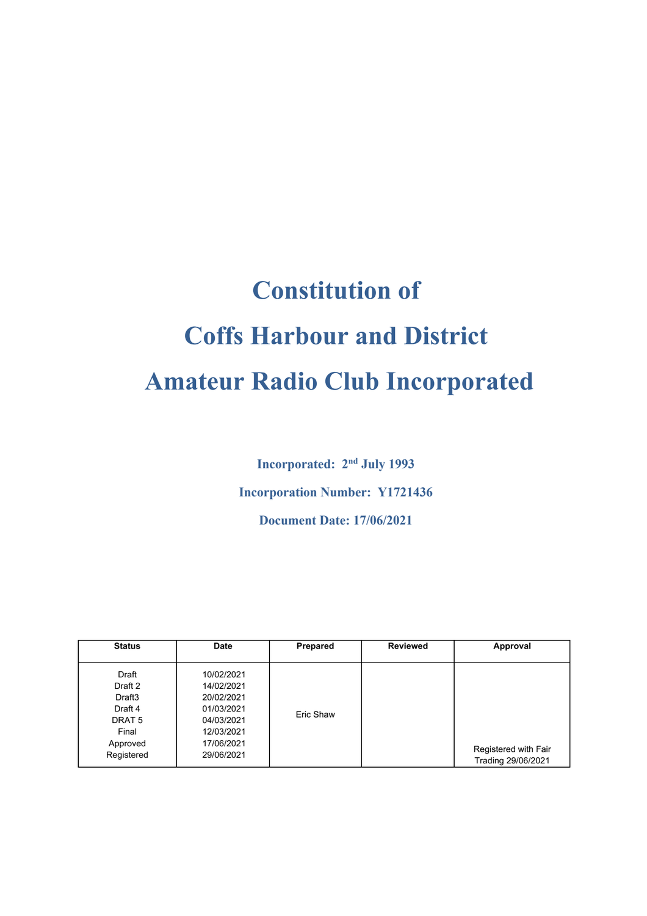# **Constitution of Coffs Harbour and District Amateur Radio Club Incorporated**

**Incorporated: 2nd July 1993 Incorporation Number: Y1721436 Document Date: 17/06/2021**

| <b>Status</b>                                                                                             | <b>Date</b>                                                                                                  | Prepared  | <b>Reviewed</b> | Approval                                   |
|-----------------------------------------------------------------------------------------------------------|--------------------------------------------------------------------------------------------------------------|-----------|-----------------|--------------------------------------------|
| Draft<br>Draft 2<br>Draft <sub>3</sub><br>Draft 4<br>DRAT <sub>5</sub><br>Final<br>Approved<br>Registered | 10/02/2021<br>14/02/2021<br>20/02/2021<br>01/03/2021<br>04/03/2021<br>12/03/2021<br>17/06/2021<br>29/06/2021 | Eric Shaw |                 | Registered with Fair<br>Trading 29/06/2021 |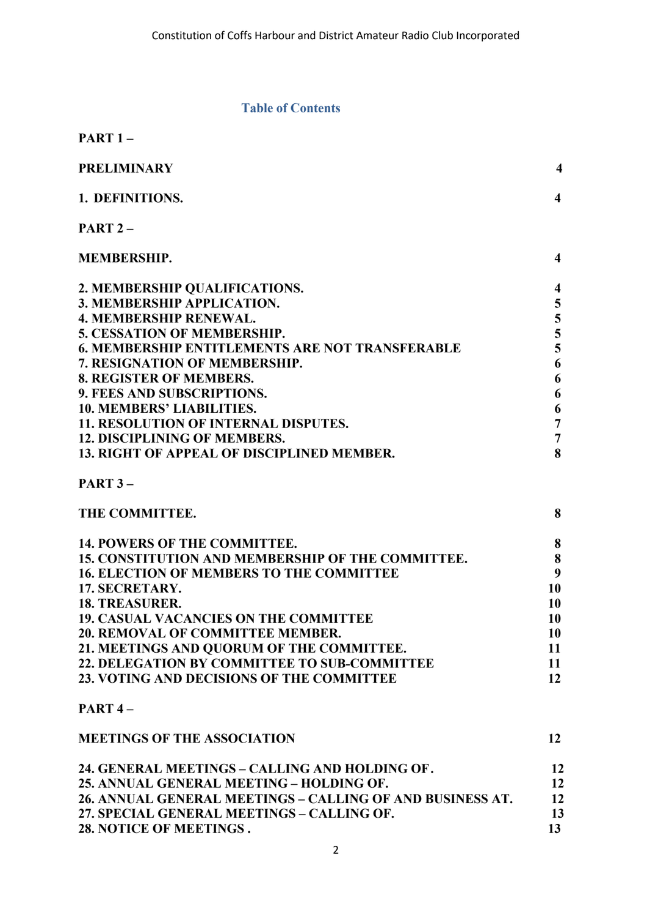#### **Table of Contents**

| <b>PART 1 –</b>                                        |                         |
|--------------------------------------------------------|-------------------------|
| <b>PRELIMINARY</b>                                     | $\overline{\mathbf{4}}$ |
| 1. DEFINITIONS.                                        | $\overline{\mathbf{4}}$ |
| PART <sub>2</sub> -                                    |                         |
| <b>MEMBERSHIP.</b>                                     | 4                       |
| 2. MEMBERSHIP QUALIFICATIONS.                          | $\overline{\mathbf{4}}$ |
| 3. MEMBERSHIP APPLICATION.                             | 5                       |
| <b>4. MEMBERSHIP RENEWAL.</b>                          |                         |
| <b>5. CESSATION OF MEMBERSHIP.</b>                     | $\frac{5}{5}$           |
| <b>6. MEMBERSHIP ENTITLEMENTS ARE NOT TRANSFERABLE</b> |                         |
| <b>7. RESIGNATION OF MEMBERSHIP.</b>                   | 6                       |
| <b>8. REGISTER OF MEMBERS.</b>                         | 6                       |
| 9. FEES AND SUBSCRIPTIONS.                             | 6                       |
| <b>10. MEMBERS' LIABILITIES.</b>                       | 6                       |
| <b>11. RESOLUTION OF INTERNAL DISPUTES.</b>            | $\overline{7}$          |
| <b>12. DISCIPLINING OF MEMBERS.</b>                    | $\overline{7}$          |
| <b>13. RIGHT OF APPEAL OF DISCIPLINED MEMBER.</b>      | 8                       |
| <b>PART 3 –</b>                                        |                         |
| THE COMMITTEE.                                         | 8                       |
| <b>14. POWERS OF THE COMMITTEE.</b>                    | 8                       |
| 15. CONSTITUTION AND MEMBERSHIP OF THE COMMITTEE.      | 8                       |
| <b>16. ELECTION OF MEMBERS TO THE COMMITTEE</b>        | 9                       |
| 17. SECRETARY.                                         | 10                      |
| <b>18. TREASURER.</b>                                  | 10                      |
| <b>19. CASUAL VACANCIES ON THE COMMITTEE</b>           | 10                      |
| <b>20. REMOVAL OF COMMITTEE MEMBER.</b>                | 10                      |
| 21. MEETINGS AND QUORUM OF THE COMMITTEE.              | 11                      |
| <b>22. DELEGATION BY COMMITTEE TO SUB-COMMITTEE</b>    | 11                      |
| 23. VOTING AND DECISIONS OF THE COMMITTEE              | 12                      |

#### **PART 4 –**

| <b>MEETINGS OF THE ASSOCIATION</b>                        |    |
|-----------------------------------------------------------|----|
| 24. GENERAL MEETINGS – CALLING AND HOLDING OF.            | 12 |
| 25. ANNUAL GENERAL MEETING – HOLDING OF.                  | 12 |
| 26. ANNUAL GENERAL MEETINGS – CALLING OF AND BUSINESS AT. | 12 |
| 27. SPECIAL GENERAL MEETINGS – CALLING OF.                | 13 |
| 28. NOTICE OF MEETINGS.                                   |    |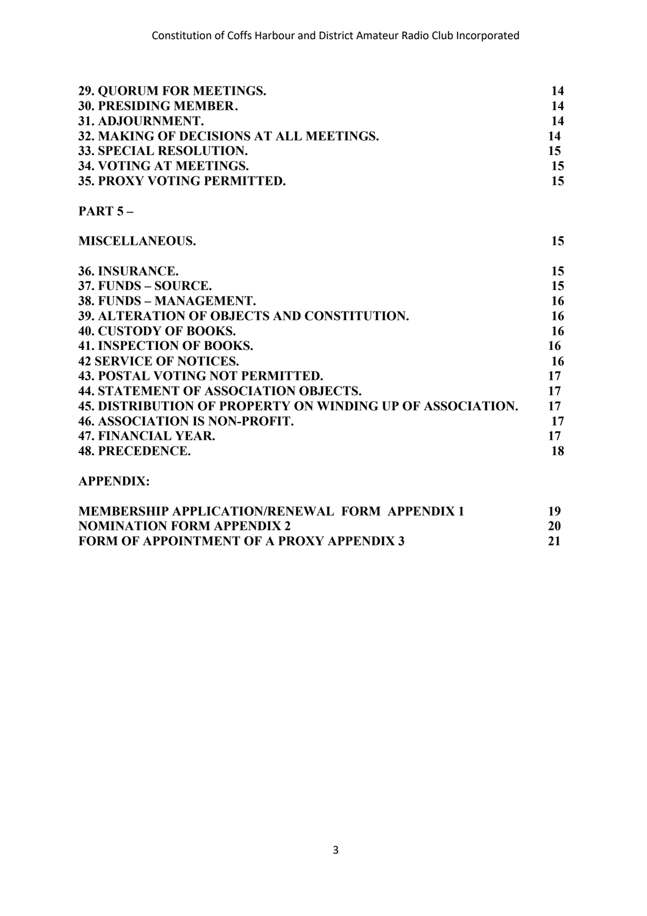| 29. QUORUM FOR MEETINGS.                                          | 14               |
|-------------------------------------------------------------------|------------------|
| 30. PRESIDING MEMBER.                                             | 14               |
| 31. ADJOURNMENT.                                                  | 14               |
| 32. MAKING OF DECISIONS AT ALL MEETINGS.                          | 14               |
| 33. SPECIAL RESOLUTION.                                           | 15 <sup>15</sup> |
| 34. VOTING AT MEETINGS.                                           | 15               |
| 35. PROXY VOTING PERMITTED.                                       | 15               |
| <b>PART <math>5-</math></b>                                       |                  |
| <b>MISCELLANEOUS.</b>                                             | 15               |
| 36. INSURANCE.                                                    | 15               |
| 37. FUNDS – SOURCE.                                               | 15               |
| 38. FUNDS – MANAGEMENT.                                           | 16               |
| 39. ALTERATION OF OBJECTS AND CONSTITUTION.                       | 16               |
| <b>40. CUSTODY OF BOOKS.</b>                                      | 16               |
| <b>41. INSPECTION OF BOOKS.</b>                                   | 16               |
| <b>42 SERVICE OF NOTICES.</b>                                     | 16               |
| <b>43. POSTAL VOTING NOT PERMITTED.</b>                           | 17               |
| <b>44. STATEMENT OF ASSOCIATION OBJECTS.</b>                      | 17               |
| <b>45. DISTRIBUTION OF PROPERTY ON WINDING UP OF ASSOCIATION.</b> | 17               |
| <b>46. ASSOCIATION IS NON-PROFIT.</b>                             | 17               |
| 47. FINANCIAL YEAR.                                               | 17               |
| <b>48. PRECEDENCE.</b>                                            | 18               |

#### **APPENDIX:**

| <b>MEMBERSHIP APPLICATION/RENEWAL FORM APPENDIX 1</b> | 19 |
|-------------------------------------------------------|----|
| <b>NOMINATION FORM APPENDIX 2</b>                     | 20 |
| <b>FORM OF APPOINTMENT OF A PROXY APPENDIX 3</b>      |    |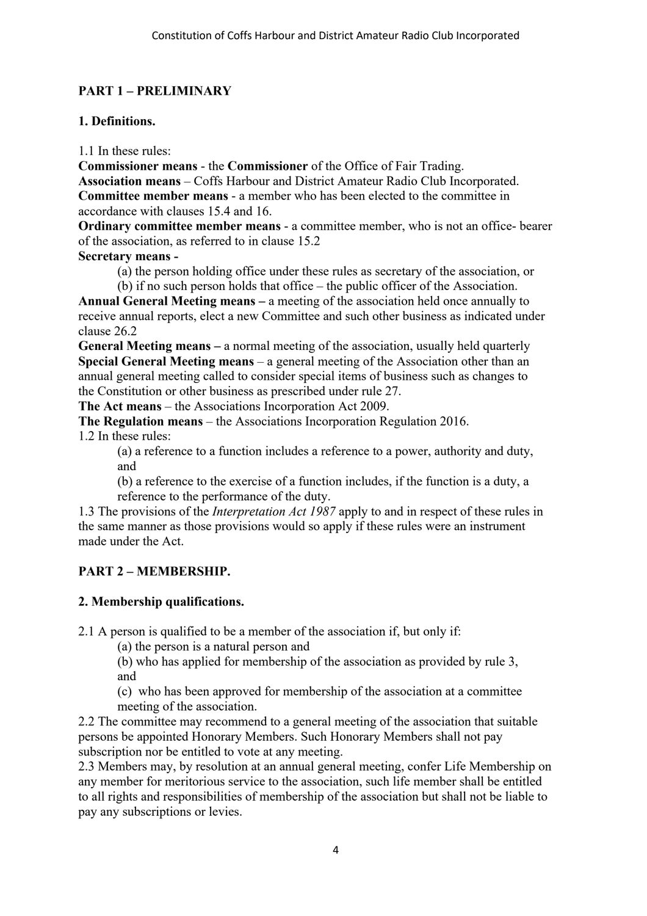#### **PART 1 – PRELIMINARY**

#### **1. Definitions.**

1.1 In these rules:

**Commissioner means** - the **Commissioner** of the Office of Fair Trading.

**Association means** – Coffs Harbour and District Amateur Radio Club Incorporated. **Committee member means** - a member who has been elected to the committee in accordance with clauses 15.4 and 16.

**Ordinary committee member means** - a committee member, who is not an office- bearer of the association, as referred to in clause 15.2

#### **Secretary means -**

(a) the person holding office under these rules as secretary of the association, or (b) if no such person holds that office – the public officer of the Association.

**Annual General Meeting means –** a meeting of the association held once annually to receive annual reports, elect a new Committee and such other business as indicated under clause 26.2

**General Meeting means –** a normal meeting of the association, usually held quarterly **Special General Meeting means** – a general meeting of the Association other than an annual general meeting called to consider special items of business such as changes to the Constitution or other business as prescribed under rule 27.

**The Act means** – the Associations Incorporation Act 2009.

**The Regulation means** – the Associations Incorporation Regulation 2016.

1.2 In these rules:

(a) a reference to a function includes a reference to a power, authority and duty, and

(b) a reference to the exercise of a function includes, if the function is a duty, a reference to the performance of the duty.

1.3 The provisions of the *Interpretation Act 1987* apply to and in respect of these rules in the same manner as those provisions would so apply if these rules were an instrument made under the Act.

#### **PART 2 – MEMBERSHIP.**

#### **2. Membership qualifications.**

2.1 A person is qualified to be a member of the association if, but only if:

(a) the person is a natural person and

(b) who has applied for membership of the association as provided by rule 3, and

(c) who has been approved for membership of the association at a committee meeting of the association.

2.2 The committee may recommend to a general meeting of the association that suitable persons be appointed Honorary Members. Such Honorary Members shall not pay subscription nor be entitled to vote at any meeting.

2.3 Members may, by resolution at an annual general meeting, confer Life Membership on any member for meritorious service to the association, such life member shall be entitled to all rights and responsibilities of membership of the association but shall not be liable to pay any subscriptions or levies.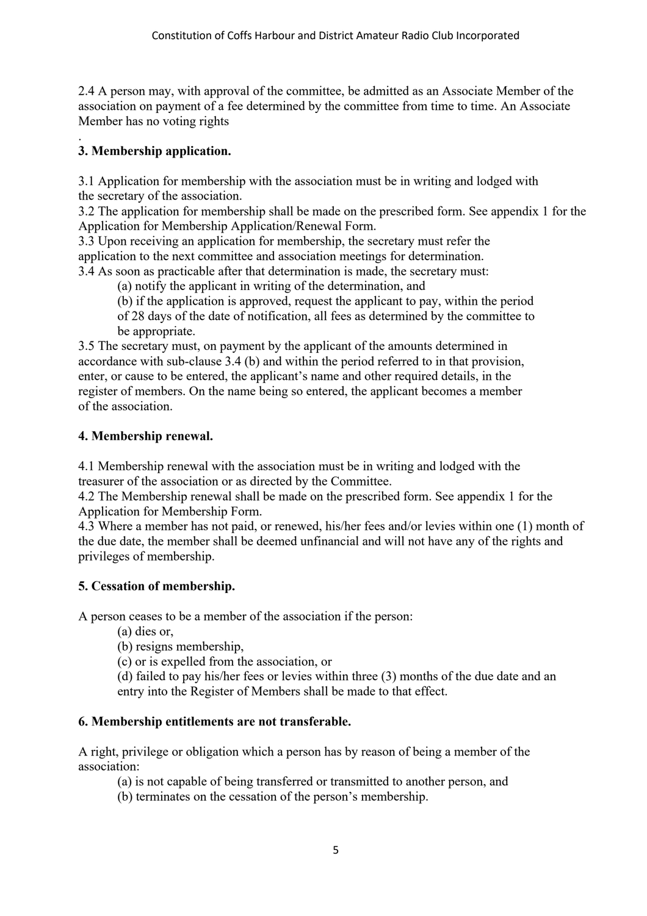2.4 A person may, with approval of the committee, be admitted as an Associate Member of the association on payment of a fee determined by the committee from time to time. An Associate Member has no voting rights

#### . **3. Membership application.**

3.1 Application for membership with the association must be in writing and lodged with the secretary of the association.

3.2 The application for membership shall be made on the prescribed form. See appendix 1 for the Application for Membership Application/Renewal Form.

3.3 Upon receiving an application for membership, the secretary must refer the application to the next committee and association meetings for determination. 3.4 As soon as practicable after that determination is made, the secretary must:

(a) notify the applicant in writing of the determination, and

(b) if the application is approved, request the applicant to pay, within the period of 28 days of the date of notification, all fees as determined by the committee to be appropriate.

3.5 The secretary must, on payment by the applicant of the amounts determined in accordance with sub-clause 3.4 (b) and within the period referred to in that provision, enter, or cause to be entered, the applicant's name and other required details, in the register of members. On the name being so entered, the applicant becomes a member of the association.

#### **4. Membership renewal.**

4.1 Membership renewal with the association must be in writing and lodged with the treasurer of the association or as directed by the Committee.

4.2 The Membership renewal shall be made on the prescribed form. See appendix 1 for the Application for Membership Form.

4.3 Where a member has not paid, or renewed, his/her fees and/or levies within one (1) month of the due date, the member shall be deemed unfinancial and will not have any of the rights and privileges of membership.

#### **5. Cessation of membership.**

A person ceases to be a member of the association if the person:

- (a) dies or,
- (b) resigns membership,
- (c) or is expelled from the association, or
- (d) failed to pay his/her fees or levies within three (3) months of the due date and an entry into the Register of Members shall be made to that effect.

#### **6. Membership entitlements are not transferable.**

A right, privilege or obligation which a person has by reason of being a member of the association:

(a) is not capable of being transferred or transmitted to another person, and

(b) terminates on the cessation of the person's membership.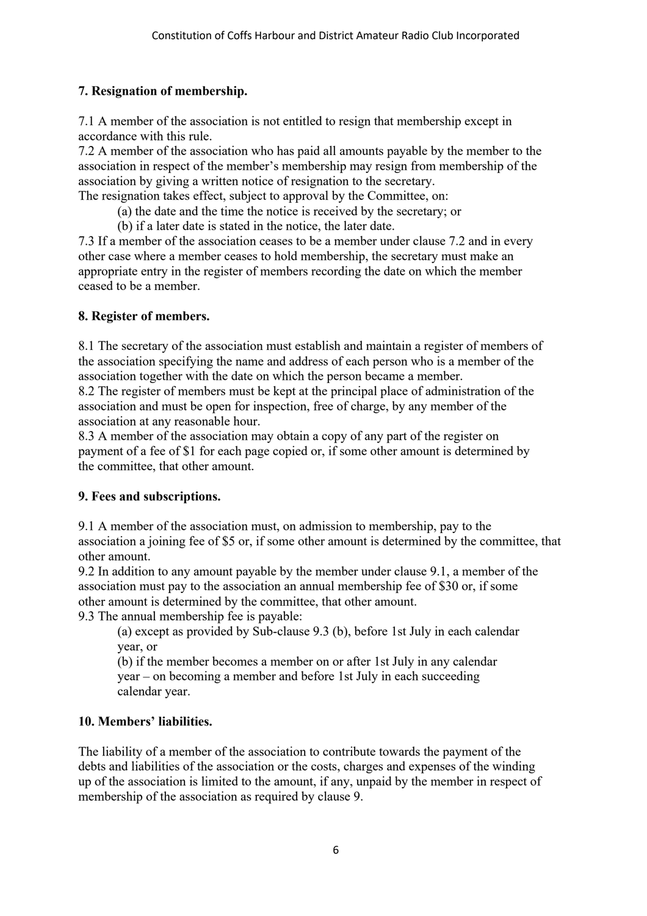#### **7. Resignation of membership.**

7.1 A member of the association is not entitled to resign that membership except in accordance with this rule.

7.2 A member of the association who has paid all amounts payable by the member to the association in respect of the member's membership may resign from membership of the association by giving a written notice of resignation to the secretary.

The resignation takes effect, subject to approval by the Committee, on:

- (a) the date and the time the notice is received by the secretary; or
- (b) if a later date is stated in the notice, the later date.

7.3 If a member of the association ceases to be a member under clause 7.2 and in every other case where a member ceases to hold membership, the secretary must make an appropriate entry in the register of members recording the date on which the member ceased to be a member.

#### **8. Register of members.**

8.1 The secretary of the association must establish and maintain a register of members of the association specifying the name and address of each person who is a member of the association together with the date on which the person became a member.

8.2 The register of members must be kept at the principal place of administration of the association and must be open for inspection, free of charge, by any member of the association at any reasonable hour.

8.3 A member of the association may obtain a copy of any part of the register on payment of a fee of \$1 for each page copied or, if some other amount is determined by the committee, that other amount.

#### **9. Fees and subscriptions.**

9.1 A member of the association must, on admission to membership, pay to the association a joining fee of \$5 or, if some other amount is determined by the committee, that other amount.

9.2 In addition to any amount payable by the member under clause 9.1, a member of the association must pay to the association an annual membership fee of \$30 or, if some other amount is determined by the committee, that other amount.

9.3 The annual membership fee is payable:

(a) except as provided by Sub-clause 9.3 (b), before 1st July in each calendar year, or

(b) if the member becomes a member on or after 1st July in any calendar year – on becoming a member and before 1st July in each succeeding calendar year.

#### **10. Members' liabilities.**

The liability of a member of the association to contribute towards the payment of the debts and liabilities of the association or the costs, charges and expenses of the winding up of the association is limited to the amount, if any, unpaid by the member in respect of membership of the association as required by clause 9.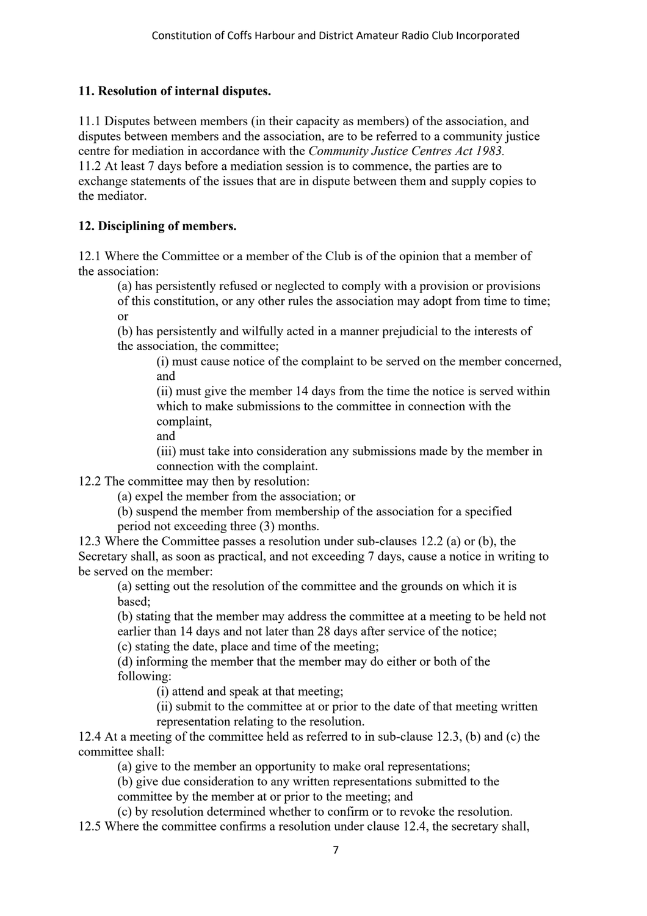#### **11. Resolution of internal disputes.**

11.1 Disputes between members (in their capacity as members) of the association, and disputes between members and the association, are to be referred to a community justice centre for mediation in accordance with the *Community Justice Centres Act 1983.* 11.2 At least 7 days before a mediation session is to commence, the parties are to exchange statements of the issues that are in dispute between them and supply copies to the mediator.

#### **12. Disciplining of members.**

12.1 Where the Committee or a member of the Club is of the opinion that a member of the association:

(a) has persistently refused or neglected to comply with a provision or provisions

of this constitution, or any other rules the association may adopt from time to time; or

(b) has persistently and wilfully acted in a manner prejudicial to the interests of the association, the committee;

(i) must cause notice of the complaint to be served on the member concerned, and

(ii) must give the member 14 days from the time the notice is served within which to make submissions to the committee in connection with the complaint,

and

(iii) must take into consideration any submissions made by the member in connection with the complaint.

12.2 The committee may then by resolution:

(a) expel the member from the association; or

(b) suspend the member from membership of the association for a specified period not exceeding three (3) months.

12.3 Where the Committee passes a resolution under sub-clauses 12.2 (a) or (b), the Secretary shall, as soon as practical, and not exceeding 7 days, cause a notice in writing to be served on the member:

(a) setting out the resolution of the committee and the grounds on which it is based;

(b) stating that the member may address the committee at a meeting to be held not earlier than 14 days and not later than 28 days after service of the notice;

(c) stating the date, place and time of the meeting;

(d) informing the member that the member may do either or both of the following:

(i) attend and speak at that meeting;

(ii) submit to the committee at or prior to the date of that meeting written representation relating to the resolution.

12.4 At a meeting of the committee held as referred to in sub-clause 12.3, (b) and (c) the committee shall:

(a) give to the member an opportunity to make oral representations;

(b) give due consideration to any written representations submitted to the

committee by the member at or prior to the meeting; and

(c) by resolution determined whether to confirm or to revoke the resolution.

12.5 Where the committee confirms a resolution under clause 12.4, the secretary shall,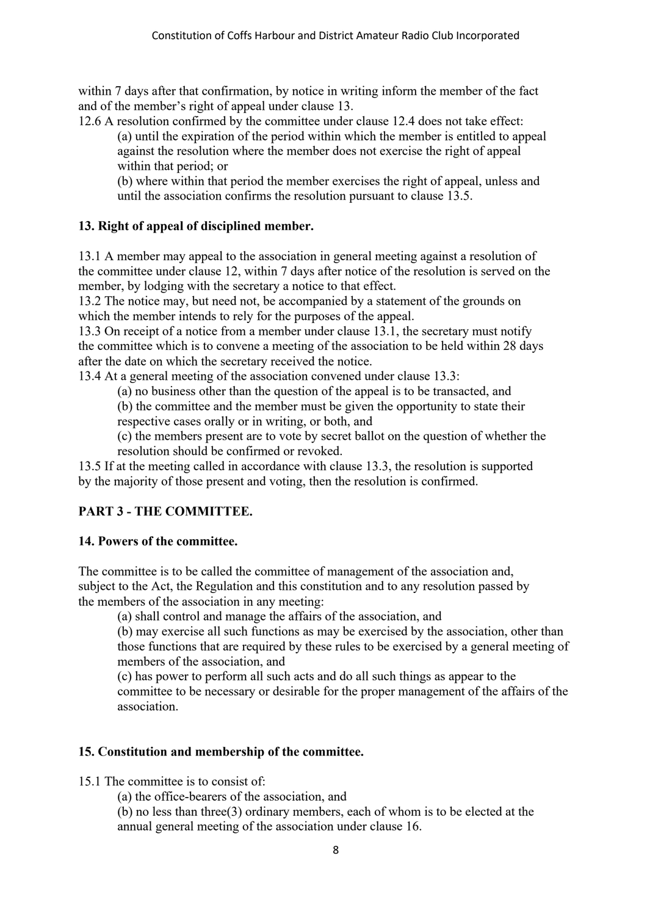within 7 days after that confirmation, by notice in writing inform the member of the fact and of the member's right of appeal under clause 13.

12.6 A resolution confirmed by the committee under clause 12.4 does not take effect: (a) until the expiration of the period within which the member is entitled to appeal against the resolution where the member does not exercise the right of appeal within that period; or

(b) where within that period the member exercises the right of appeal, unless and until the association confirms the resolution pursuant to clause 13.5.

#### **13. Right of appeal of disciplined member.**

13.1 A member may appeal to the association in general meeting against a resolution of the committee under clause 12, within 7 days after notice of the resolution is served on the member, by lodging with the secretary a notice to that effect.

13.2 The notice may, but need not, be accompanied by a statement of the grounds on which the member intends to rely for the purposes of the appeal.

13.3 On receipt of a notice from a member under clause 13.1, the secretary must notify the committee which is to convene a meeting of the association to be held within 28 days after the date on which the secretary received the notice.

13.4 At a general meeting of the association convened under clause 13.3:

(a) no business other than the question of the appeal is to be transacted, and

(b) the committee and the member must be given the opportunity to state their respective cases orally or in writing, or both, and

(c) the members present are to vote by secret ballot on the question of whether the resolution should be confirmed or revoked.

13.5 If at the meeting called in accordance with clause 13.3, the resolution is supported by the majority of those present and voting, then the resolution is confirmed.

#### **PART 3 - THE COMMITTEE.**

#### **14. Powers of the committee.**

The committee is to be called the committee of management of the association and, subject to the Act, the Regulation and this constitution and to any resolution passed by the members of the association in any meeting:

(a) shall control and manage the affairs of the association, and

(b) may exercise all such functions as may be exercised by the association, other than those functions that are required by these rules to be exercised by a general meeting of members of the association, and

(c) has power to perform all such acts and do all such things as appear to the committee to be necessary or desirable for the proper management of the affairs of the association.

#### **15. Constitution and membership of the committee.**

15.1 The committee is to consist of:

(a) the office-bearers of the association, and

(b) no less than three(3) ordinary members, each of whom is to be elected at the annual general meeting of the association under clause 16.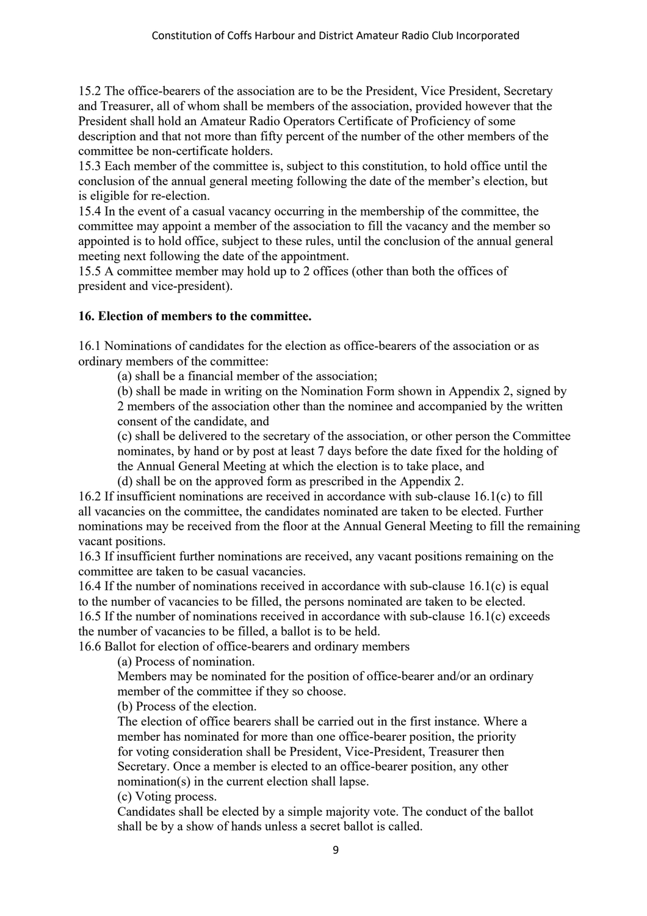15.2 The office-bearers of the association are to be the President, Vice President, Secretary and Treasurer, all of whom shall be members of the association, provided however that the President shall hold an Amateur Radio Operators Certificate of Proficiency of some description and that not more than fifty percent of the number of the other members of the committee be non-certificate holders.

15.3 Each member of the committee is, subject to this constitution, to hold office until the conclusion of the annual general meeting following the date of the member's election, but is eligible for re-election.

15.4 In the event of a casual vacancy occurring in the membership of the committee, the committee may appoint a member of the association to fill the vacancy and the member so appointed is to hold office, subject to these rules, until the conclusion of the annual general meeting next following the date of the appointment.

15.5 A committee member may hold up to 2 offices (other than both the offices of president and vice-president).

#### **16. Election of members to the committee.**

16.1 Nominations of candidates for the election as office-bearers of the association or as ordinary members of the committee:

(a) shall be a financial member of the association;

(b) shall be made in writing on the Nomination Form shown in Appendix 2, signed by 2 members of the association other than the nominee and accompanied by the written consent of the candidate, and

(c) shall be delivered to the secretary of the association, or other person the Committee nominates, by hand or by post at least 7 days before the date fixed for the holding of the Annual General Meeting at which the election is to take place, and

(d) shall be on the approved form as prescribed in the Appendix 2.

16.2 If insufficient nominations are received in accordance with sub-clause 16.1(c) to fill all vacancies on the committee, the candidates nominated are taken to be elected. Further nominations may be received from the floor at the Annual General Meeting to fill the remaining vacant positions.

16.3 If insufficient further nominations are received, any vacant positions remaining on the committee are taken to be casual vacancies.

16.4 If the number of nominations received in accordance with sub-clause 16.1(c) is equal to the number of vacancies to be filled, the persons nominated are taken to be elected.

16.5 If the number of nominations received in accordance with sub-clause 16.1(c) exceeds the number of vacancies to be filled, a ballot is to be held.

16.6 Ballot for election of office-bearers and ordinary members

(a) Process of nomination.

Members may be nominated for the position of office-bearer and/or an ordinary member of the committee if they so choose.

(b) Process of the election.

The election of office bearers shall be carried out in the first instance. Where a member has nominated for more than one office-bearer position, the priority for voting consideration shall be President, Vice-President, Treasurer then Secretary. Once a member is elected to an office-bearer position, any other nomination(s) in the current election shall lapse.

(c) Voting process.

Candidates shall be elected by a simple majority vote. The conduct of the ballot shall be by a show of hands unless a secret ballot is called.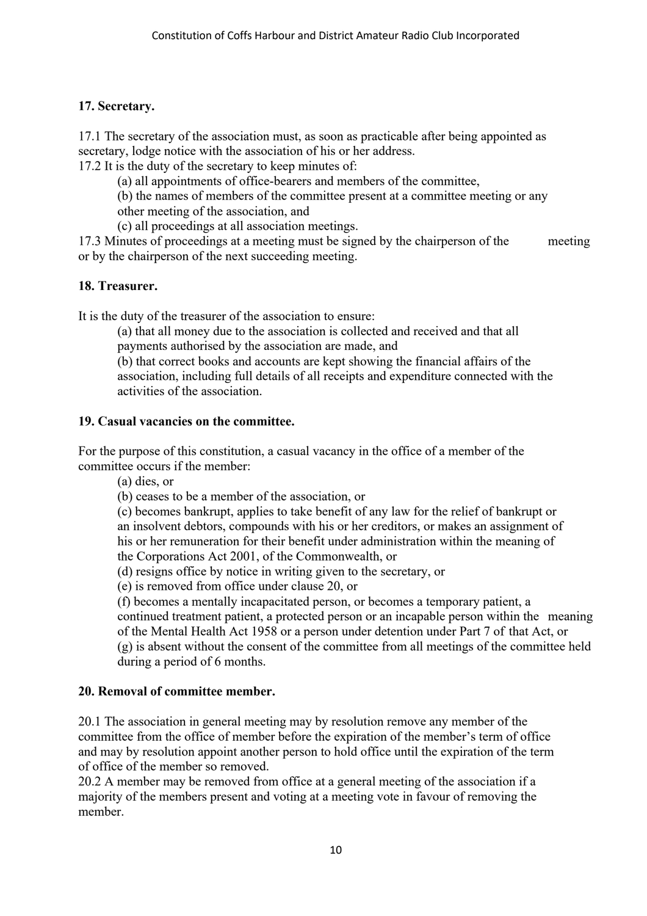#### **17. Secretary.**

17.1 The secretary of the association must, as soon as practicable after being appointed as secretary, lodge notice with the association of his or her address.

17.2 It is the duty of the secretary to keep minutes of:

(a) all appointments of office-bearers and members of the committee,

(b) the names of members of the committee present at a committee meeting or any

other meeting of the association, and

(c) all proceedings at all association meetings.

17.3 Minutes of proceedings at a meeting must be signed by the chairperson of the meeting or by the chairperson of the next succeeding meeting.

#### **18. Treasurer.**

It is the duty of the treasurer of the association to ensure:

(a) that all money due to the association is collected and received and that all payments authorised by the association are made, and

(b) that correct books and accounts are kept showing the financial affairs of the association, including full details of all receipts and expenditure connected with the activities of the association.

#### **19. Casual vacancies on the committee.**

For the purpose of this constitution, a casual vacancy in the office of a member of the committee occurs if the member:

(a) dies, or

(b) ceases to be a member of the association, or

(c) becomes bankrupt, applies to take benefit of any law for the relief of bankrupt or an insolvent debtors, compounds with his or her creditors, or makes an assignment of his or her remuneration for their benefit under administration within the meaning of the Corporations Act 2001, of the Commonwealth, or

(d) resigns office by notice in writing given to the secretary, or

(e) is removed from office under clause 20, or

(f) becomes a mentally incapacitated person, or becomes a temporary patient, a continued treatment patient, a protected person or an incapable person within the meaning of the Mental Health Act 1958 or a person under detention under Part 7 of that Act, or (g) is absent without the consent of the committee from all meetings of the committee held during a period of 6 months.

#### **20. Removal of committee member.**

20.1 The association in general meeting may by resolution remove any member of the committee from the office of member before the expiration of the member's term of office and may by resolution appoint another person to hold office until the expiration of the term of office of the member so removed.

20.2 A member may be removed from office at a general meeting of the association if a majority of the members present and voting at a meeting vote in favour of removing the member.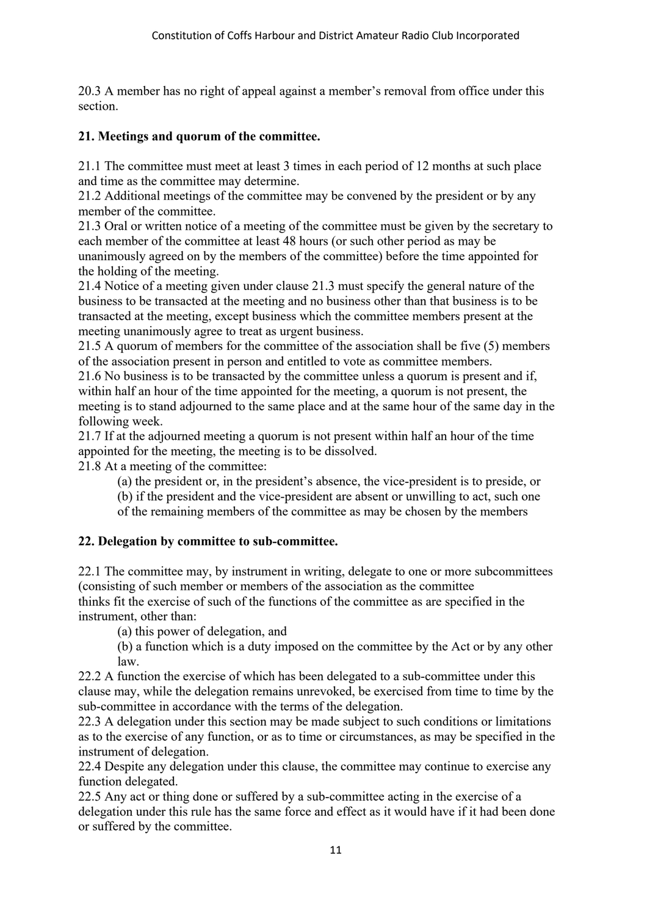20.3 A member has no right of appeal against a member's removal from office under this section.

#### **21. Meetings and quorum of the committee.**

21.1 The committee must meet at least 3 times in each period of 12 months at such place and time as the committee may determine.

21.2 Additional meetings of the committee may be convened by the president or by any member of the committee.

21.3 Oral or written notice of a meeting of the committee must be given by the secretary to each member of the committee at least 48 hours (or such other period as may be unanimously agreed on by the members of the committee) before the time appointed for the holding of the meeting.

21.4 Notice of a meeting given under clause 21.3 must specify the general nature of the business to be transacted at the meeting and no business other than that business is to be transacted at the meeting, except business which the committee members present at the meeting unanimously agree to treat as urgent business.

21.5 A quorum of members for the committee of the association shall be five (5) members of the association present in person and entitled to vote as committee members.

21.6 No business is to be transacted by the committee unless a quorum is present and if, within half an hour of the time appointed for the meeting, a quorum is not present, the meeting is to stand adjourned to the same place and at the same hour of the same day in the following week.

21.7 If at the adjourned meeting a quorum is not present within half an hour of the time appointed for the meeting, the meeting is to be dissolved.

21.8 At a meeting of the committee:

(a) the president or, in the president's absence, the vice-president is to preside, or

(b) if the president and the vice-president are absent or unwilling to act, such one

of the remaining members of the committee as may be chosen by the members

#### **22. Delegation by committee to sub-committee.**

22.1 The committee may, by instrument in writing, delegate to one or more subcommittees (consisting of such member or members of the association as the committee thinks fit the exercise of such of the functions of the committee as are specified in the instrument, other than:

(a) this power of delegation, and

(b) a function which is a duty imposed on the committee by the Act or by any other law.

22.2 A function the exercise of which has been delegated to a sub-committee under this clause may, while the delegation remains unrevoked, be exercised from time to time by the sub-committee in accordance with the terms of the delegation.

22.3 A delegation under this section may be made subject to such conditions or limitations as to the exercise of any function, or as to time or circumstances, as may be specified in the instrument of delegation.

22.4 Despite any delegation under this clause, the committee may continue to exercise any function delegated.

22.5 Any act or thing done or suffered by a sub-committee acting in the exercise of a delegation under this rule has the same force and effect as it would have if it had been done or suffered by the committee.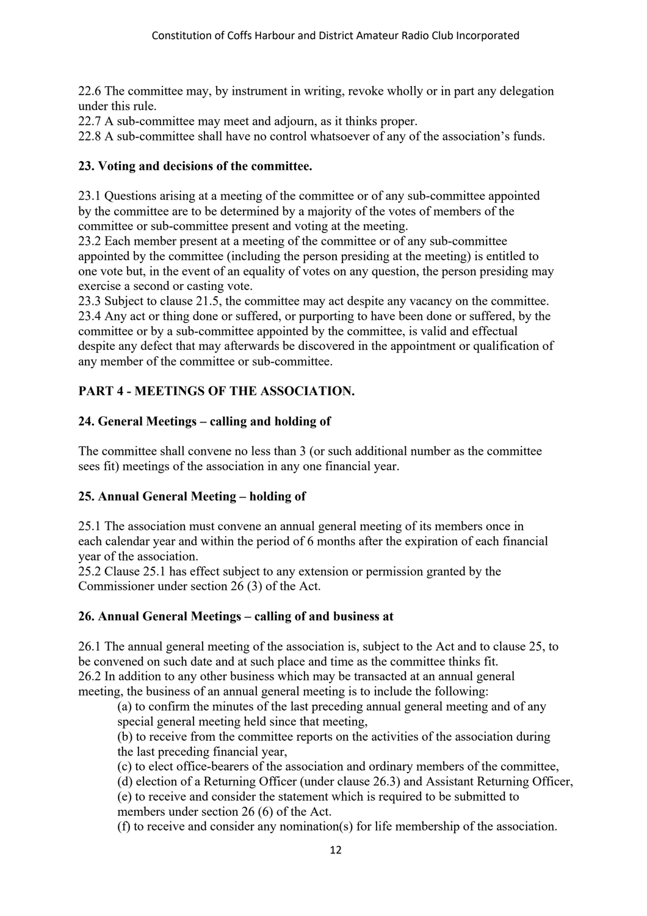22.6 The committee may, by instrument in writing, revoke wholly or in part any delegation under this rule.

22.7 A sub-committee may meet and adjourn, as it thinks proper.

22.8 A sub-committee shall have no control whatsoever of any of the association's funds.

#### **23. Voting and decisions of the committee.**

23.1 Questions arising at a meeting of the committee or of any sub-committee appointed by the committee are to be determined by a majority of the votes of members of the committee or sub-committee present and voting at the meeting.

23.2 Each member present at a meeting of the committee or of any sub-committee appointed by the committee (including the person presiding at the meeting) is entitled to one vote but, in the event of an equality of votes on any question, the person presiding may exercise a second or casting vote.

23.3 Subject to clause 21.5, the committee may act despite any vacancy on the committee. 23.4 Any act or thing done or suffered, or purporting to have been done or suffered, by the committee or by a sub-committee appointed by the committee, is valid and effectual despite any defect that may afterwards be discovered in the appointment or qualification of any member of the committee or sub-committee.

#### **PART 4 - MEETINGS OF THE ASSOCIATION.**

#### **24. General Meetings – calling and holding of**

The committee shall convene no less than 3 (or such additional number as the committee sees fit) meetings of the association in any one financial year.

#### **25. Annual General Meeting – holding of**

25.1 The association must convene an annual general meeting of its members once in each calendar year and within the period of 6 months after the expiration of each financial year of the association.

25.2 Clause 25.1 has effect subject to any extension or permission granted by the Commissioner under section 26 (3) of the Act.

#### **26. Annual General Meetings – calling of and business at**

26.1 The annual general meeting of the association is, subject to the Act and to clause 25, to be convened on such date and at such place and time as the committee thinks fit. 26.2 In addition to any other business which may be transacted at an annual general meeting, the business of an annual general meeting is to include the following:

(a) to confirm the minutes of the last preceding annual general meeting and of any special general meeting held since that meeting,

(b) to receive from the committee reports on the activities of the association during the last preceding financial year,

(c) to elect office-bearers of the association and ordinary members of the committee,

(d) election of a Returning Officer (under clause 26.3) and Assistant Returning Officer,

(e) to receive and consider the statement which is required to be submitted to members under section 26 (6) of the Act.

(f) to receive and consider any nomination(s) for life membership of the association.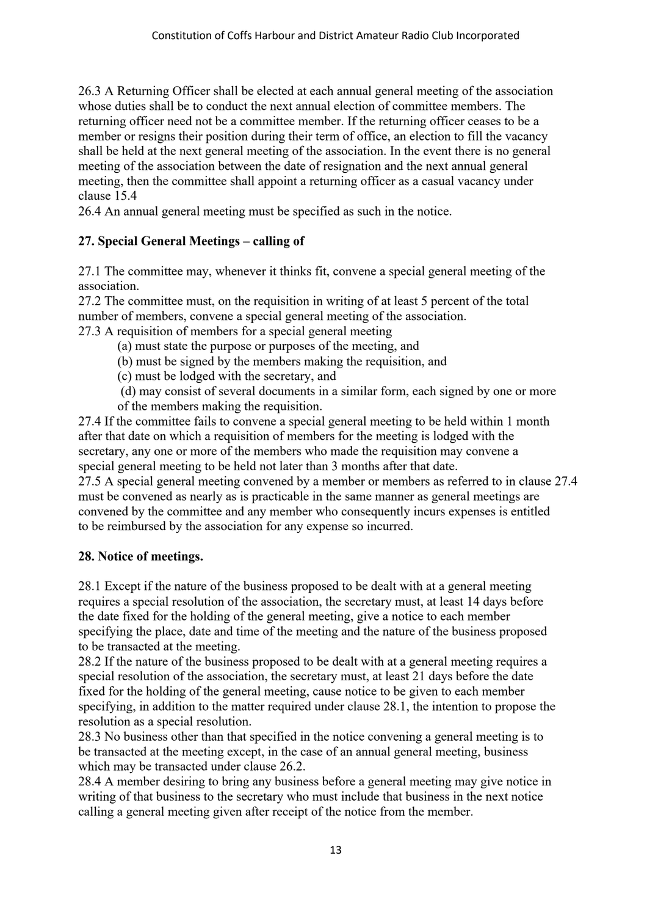26.3 A Returning Officer shall be elected at each annual general meeting of the association whose duties shall be to conduct the next annual election of committee members. The returning officer need not be a committee member. If the returning officer ceases to be a member or resigns their position during their term of office, an election to fill the vacancy shall be held at the next general meeting of the association. In the event there is no general meeting of the association between the date of resignation and the next annual general meeting, then the committee shall appoint a returning officer as a casual vacancy under clause 15.4

26.4 An annual general meeting must be specified as such in the notice.

#### **27. Special General Meetings – calling of**

27.1 The committee may, whenever it thinks fit, convene a special general meeting of the association.

27.2 The committee must, on the requisition in writing of at least 5 percent of the total number of members, convene a special general meeting of the association. 27.3 A requisition of members for a special general meeting

(a) must state the purpose or purposes of the meeting, and

- (b) must be signed by the members making the requisition, and
- (c) must be lodged with the secretary, and
- (d) may consist of several documents in a similar form, each signed by one or more of the members making the requisition.

27.4 If the committee fails to convene a special general meeting to be held within 1 month after that date on which a requisition of members for the meeting is lodged with the secretary, any one or more of the members who made the requisition may convene a special general meeting to be held not later than 3 months after that date.

27.5 A special general meeting convened by a member or members as referred to in clause 27.4 must be convened as nearly as is practicable in the same manner as general meetings are convened by the committee and any member who consequently incurs expenses is entitled to be reimbursed by the association for any expense so incurred.

#### **28. Notice of meetings.**

28.1 Except if the nature of the business proposed to be dealt with at a general meeting requires a special resolution of the association, the secretary must, at least 14 days before the date fixed for the holding of the general meeting, give a notice to each member specifying the place, date and time of the meeting and the nature of the business proposed to be transacted at the meeting.

28.2 If the nature of the business proposed to be dealt with at a general meeting requires a special resolution of the association, the secretary must, at least 21 days before the date fixed for the holding of the general meeting, cause notice to be given to each member specifying, in addition to the matter required under clause 28.1, the intention to propose the resolution as a special resolution.

28.3 No business other than that specified in the notice convening a general meeting is to be transacted at the meeting except, in the case of an annual general meeting, business which may be transacted under clause 26.2.

28.4 A member desiring to bring any business before a general meeting may give notice in writing of that business to the secretary who must include that business in the next notice calling a general meeting given after receipt of the notice from the member.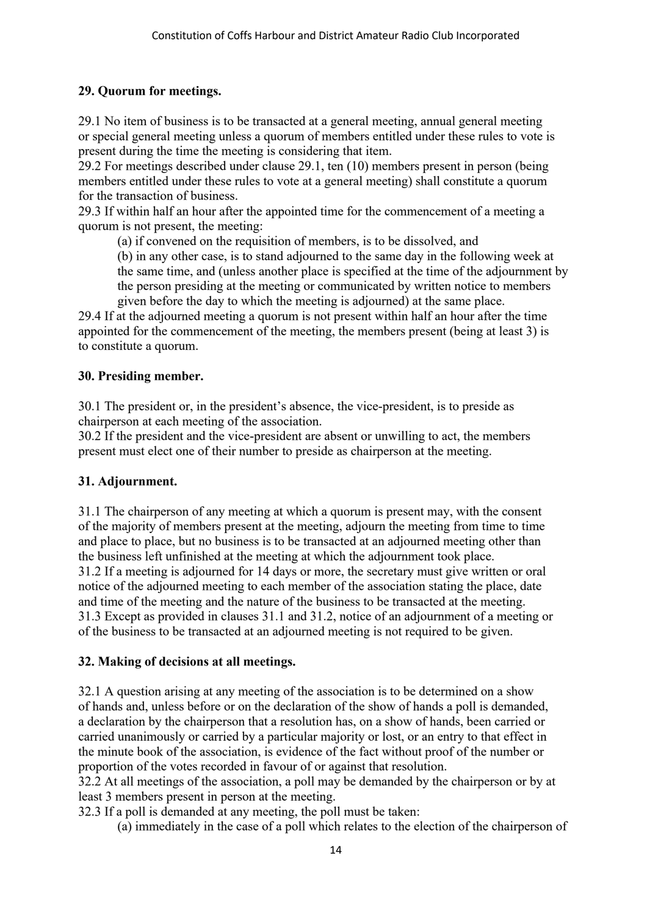#### **29. Quorum for meetings.**

29.1 No item of business is to be transacted at a general meeting, annual general meeting or special general meeting unless a quorum of members entitled under these rules to vote is present during the time the meeting is considering that item.

29.2 For meetings described under clause 29.1, ten (10) members present in person (being members entitled under these rules to vote at a general meeting) shall constitute a quorum for the transaction of business.

29.3 If within half an hour after the appointed time for the commencement of a meeting a quorum is not present, the meeting:

(a) if convened on the requisition of members, is to be dissolved, and

(b) in any other case, is to stand adjourned to the same day in the following week at the same time, and (unless another place is specified at the time of the adjournment by the person presiding at the meeting or communicated by written notice to members given before the day to which the meeting is adjourned) at the same place.

29.4 If at the adjourned meeting a quorum is not present within half an hour after the time appointed for the commencement of the meeting, the members present (being at least 3) is to constitute a quorum.

#### **30. Presiding member.**

30.1 The president or, in the president's absence, the vice-president, is to preside as chairperson at each meeting of the association.

30.2 If the president and the vice-president are absent or unwilling to act, the members present must elect one of their number to preside as chairperson at the meeting.

#### **31. Adjournment.**

31.1 The chairperson of any meeting at which a quorum is present may, with the consent of the majority of members present at the meeting, adjourn the meeting from time to time and place to place, but no business is to be transacted at an adjourned meeting other than the business left unfinished at the meeting at which the adjournment took place. 31.2 If a meeting is adjourned for 14 days or more, the secretary must give written or oral notice of the adjourned meeting to each member of the association stating the place, date and time of the meeting and the nature of the business to be transacted at the meeting. 31.3 Except as provided in clauses 31.1 and 31.2, notice of an adjournment of a meeting or of the business to be transacted at an adjourned meeting is not required to be given.

#### **32. Making of decisions at all meetings.**

32.1 A question arising at any meeting of the association is to be determined on a show of hands and, unless before or on the declaration of the show of hands a poll is demanded, a declaration by the chairperson that a resolution has, on a show of hands, been carried or carried unanimously or carried by a particular majority or lost, or an entry to that effect in the minute book of the association, is evidence of the fact without proof of the number or proportion of the votes recorded in favour of or against that resolution.

32.2 At all meetings of the association, a poll may be demanded by the chairperson or by at least 3 members present in person at the meeting.

32.3 If a poll is demanded at any meeting, the poll must be taken:

(a) immediately in the case of a poll which relates to the election of the chairperson of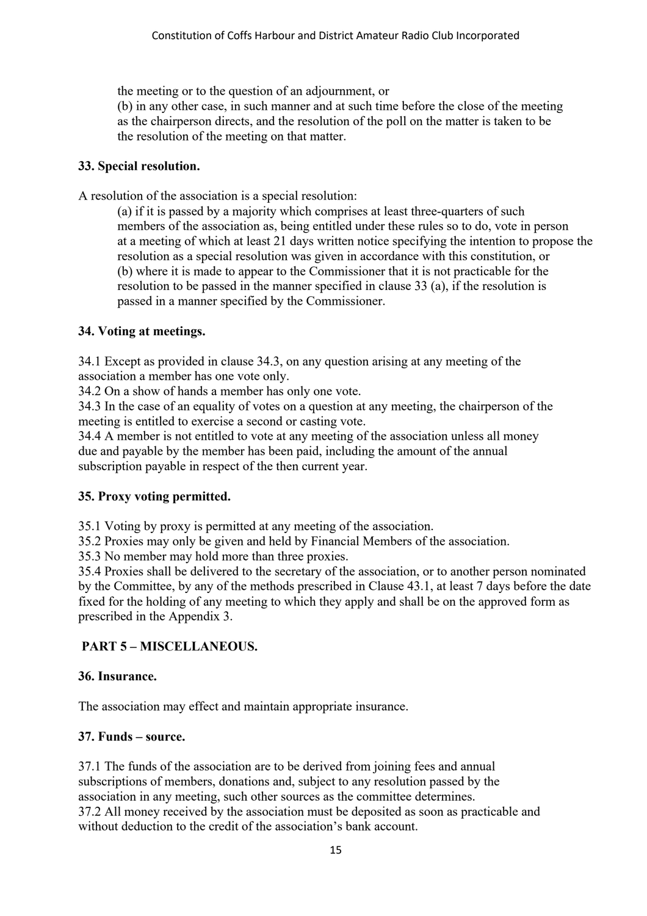the meeting or to the question of an adjournment, or

(b) in any other case, in such manner and at such time before the close of the meeting as the chairperson directs, and the resolution of the poll on the matter is taken to be the resolution of the meeting on that matter.

#### **33. Special resolution.**

A resolution of the association is a special resolution:

(a) if it is passed by a majority which comprises at least three-quarters of such members of the association as, being entitled under these rules so to do, vote in person at a meeting of which at least 21 days written notice specifying the intention to propose the resolution as a special resolution was given in accordance with this constitution, or (b) where it is made to appear to the Commissioner that it is not practicable for the resolution to be passed in the manner specified in clause 33 (a), if the resolution is passed in a manner specified by the Commissioner.

#### **34. Voting at meetings.**

34.1 Except as provided in clause 34.3, on any question arising at any meeting of the association a member has one vote only.

34.2 On a show of hands a member has only one vote.

34.3 In the case of an equality of votes on a question at any meeting, the chairperson of the meeting is entitled to exercise a second or casting vote.

34.4 A member is not entitled to vote at any meeting of the association unless all money due and payable by the member has been paid, including the amount of the annual subscription payable in respect of the then current year.

#### **35. Proxy voting permitted.**

35.1 Voting by proxy is permitted at any meeting of the association.

35.2 Proxies may only be given and held by Financial Members of the association.

35.3 No member may hold more than three proxies.

35.4 Proxies shall be delivered to the secretary of the association, or to another person nominated by the Committee, by any of the methods prescribed in Clause 43.1, at least 7 days before the date fixed for the holding of any meeting to which they apply and shall be on the approved form as prescribed in the Appendix 3.

#### **PART 5 – MISCELLANEOUS.**

#### **36. Insurance.**

The association may effect and maintain appropriate insurance.

#### **37. Funds – source.**

37.1 The funds of the association are to be derived from joining fees and annual subscriptions of members, donations and, subject to any resolution passed by the association in any meeting, such other sources as the committee determines. 37.2 All money received by the association must be deposited as soon as practicable and without deduction to the credit of the association's bank account.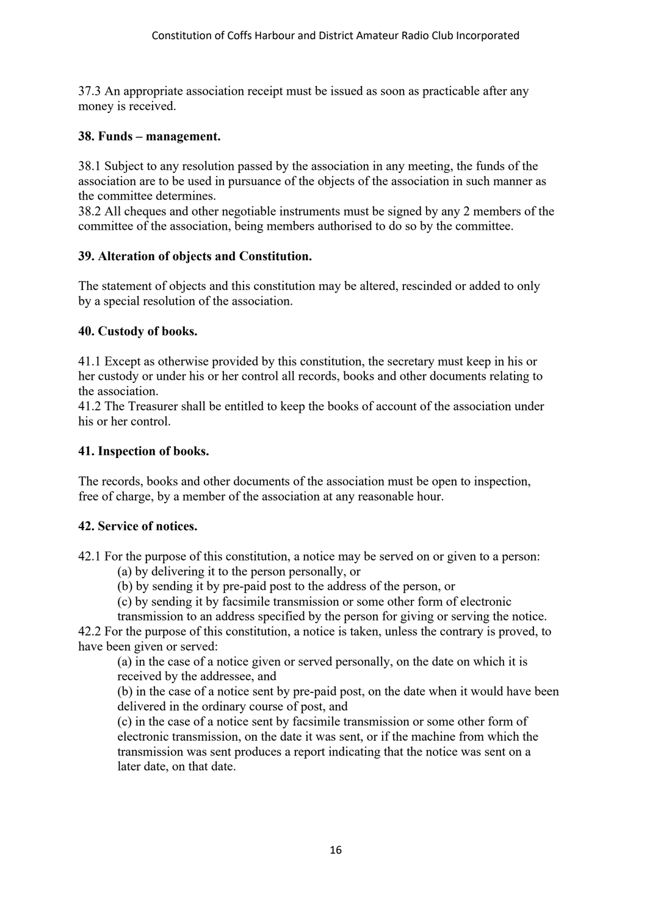37.3 An appropriate association receipt must be issued as soon as practicable after any money is received.

#### **38. Funds – management.**

38.1 Subject to any resolution passed by the association in any meeting, the funds of the association are to be used in pursuance of the objects of the association in such manner as the committee determines.

38.2 All cheques and other negotiable instruments must be signed by any 2 members of the committee of the association, being members authorised to do so by the committee.

#### **39. Alteration of objects and Constitution.**

The statement of objects and this constitution may be altered, rescinded or added to only by a special resolution of the association.

#### **40. Custody of books.**

41.1 Except as otherwise provided by this constitution, the secretary must keep in his or her custody or under his or her control all records, books and other documents relating to the association.

41.2 The Treasurer shall be entitled to keep the books of account of the association under his or her control.

#### **41. Inspection of books.**

The records, books and other documents of the association must be open to inspection, free of charge, by a member of the association at any reasonable hour.

#### **42. Service of notices.**

42.1 For the purpose of this constitution, a notice may be served on or given to a person:

- (a) by delivering it to the person personally, or
- (b) by sending it by pre-paid post to the address of the person, or
- (c) by sending it by facsimile transmission or some other form of electronic
- transmission to an address specified by the person for giving or serving the notice.

42.2 For the purpose of this constitution, a notice is taken, unless the contrary is proved, to have been given or served:

(a) in the case of a notice given or served personally, on the date on which it is received by the addressee, and

(b) in the case of a notice sent by pre-paid post, on the date when it would have been delivered in the ordinary course of post, and

(c) in the case of a notice sent by facsimile transmission or some other form of electronic transmission, on the date it was sent, or if the machine from which the transmission was sent produces a report indicating that the notice was sent on a later date, on that date.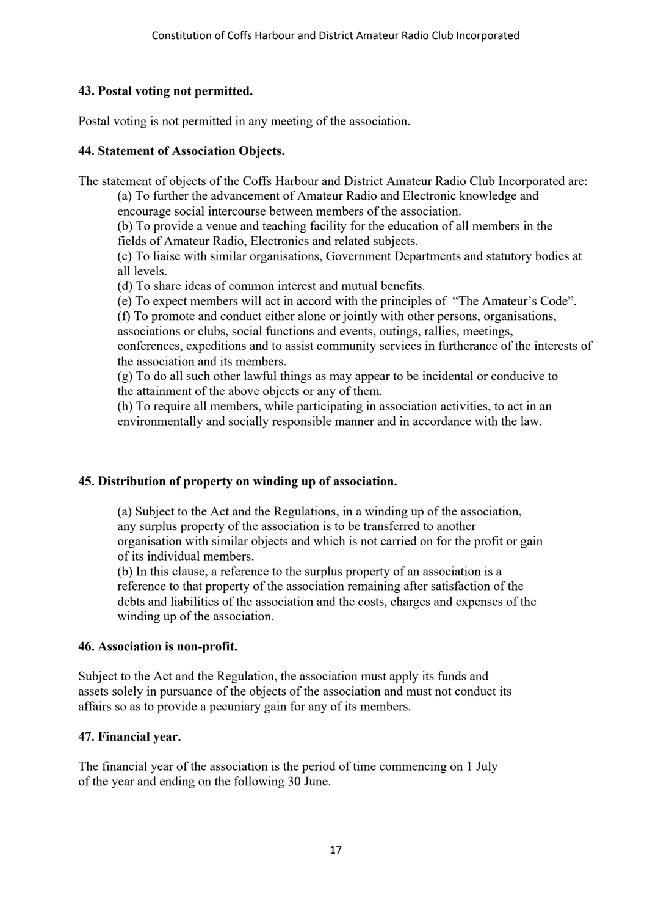#### **43. Postal voting not permitted.**

Postal voting is not permitted in any meeting of the association.

#### **44. Statement of Association Objects.**

The statement of objects of the Coffs Harbour and District Amateur Radio Club Incorporated are:

(a) To further the advancement of Amateur Radio and Electronic knowledge and encourage social intercourse between members of the association.

(b) To provide a venue and teaching facility for the education of all members in the fields of Amateur Radio, Electronics and related subjects.

(c) To liaise with similar organisations, Government Departments and statutory bodies at all levels.

(d) To share ideas of common interest and mutual benefits.

(e) To expect members will act in accord with the principles of "The Amateur's Code".

(f) To promote and conduct either alone or jointly with other persons, organisations,

associations or clubs, social functions and events, outings, rallies, meetings, conferences, expeditions and to assist community services in furtherance of the interests of the association and its members.

(g) To do all such other lawful things as may appear to be incidental or conducive to the attainment of the above objects or any of them.

(h) To require all members, while participating in association activities, to act in an environmentally and socially responsible manner and in accordance with the law.

#### **45. Distribution of property on winding up of association.**

(a) Subject to the Act and the Regulations, in a winding up of the association, any surplus property of the association is to be transferred to another organisation with similar objects and which is not carried on for the profit or gain of its individual members.

(b) In this clause, a reference to the surplus property of an association is a reference to that property of the association remaining after satisfaction of the debts and liabilities of the association and the costs, charges and expenses of the winding up of the association.

#### **46. Association is non-profit.**

Subject to the Act and the Regulation, the association must apply its funds and assets solely in pursuance of the objects of the association and must not conduct its affairs so as to provide a pecuniary gain for any of its members.

#### **47. Financial year.**

The financial year of the association is the period of time commencing on 1 July of the year and ending on the following 30 June.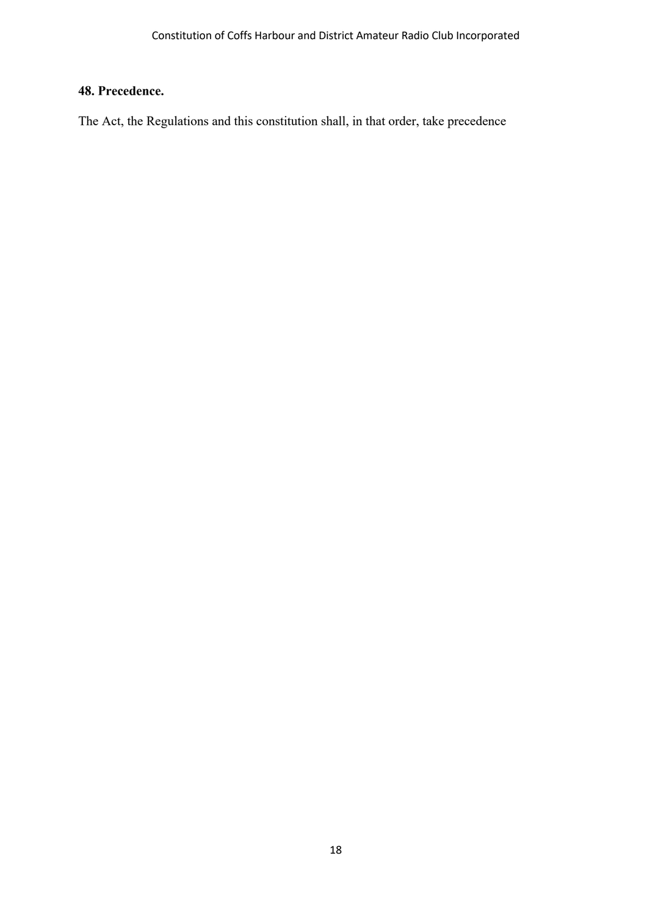#### **48. Precedence.**

The Act, the Regulations and this constitution shall, in that order, take precedence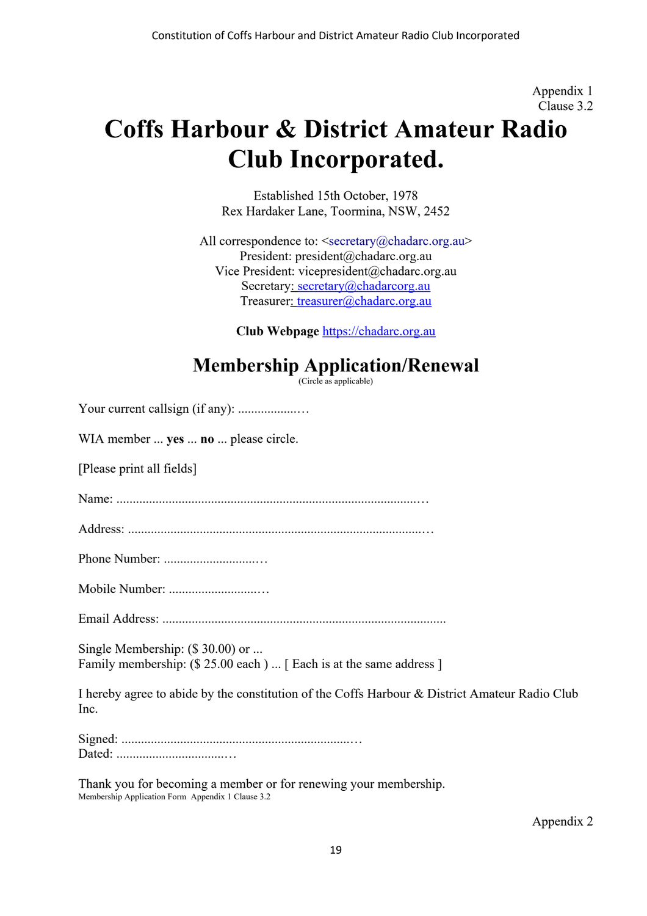Appendix 1 Clause 3.2

# **Coffs Harbour & District Amateur Radio Club Incorporated.**

Established 15th October, 1978 Rex Hardaker Lane, Toormina, NSW, 2452

All correspondence to: <secretary@chadarc.org.au> President: president@chadarc.org.au Vice President: vicepresident@chadarc.org.au Secretary: secretary@chadarcorg.au Treasurer: treasurer@chadarc.org.au

**Club Webpage** https://chadarc.org.au

## **Membership Application/Renewal**

(Circle as applicable)

| WIA member  yes  no  please circle.                                                                    |
|--------------------------------------------------------------------------------------------------------|
| [Please print all fields]                                                                              |
|                                                                                                        |
|                                                                                                        |
|                                                                                                        |
|                                                                                                        |
|                                                                                                        |
| Single Membership: (\$30.00) or<br>Family membership: (\$ 25.00 each)  [ Each is at the same address ] |
| I hereby agree to abide by the constitution of the Coffs Harbour & District Amateur Radio Club<br>Inc. |
|                                                                                                        |

Thank you for becoming a member or for renewing your membership. Membership Application Form Appendix 1 Clause 3.2

Appendix 2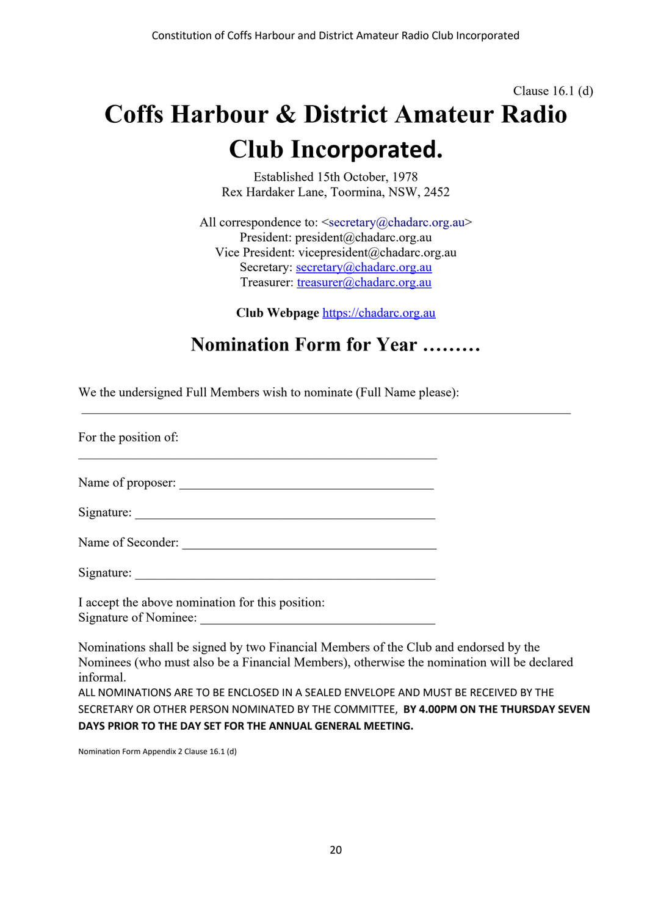# Clause 16.1 (d) **Coffs Harbour & District Amateur Radio Club Incorporated.**

Established 15th October, 1978 Rex Hardaker Lane, Toormina, NSW, 2452

All correspondence to:  $\leq$ secretary@chadarc.org.au> President: president@chadarc.org.au Vice President: vicepresident@chadarc.org.au Secretary: secretary@chadarc.org.au Treasurer: treasurer@chadarc.org.au

**Club Webpage** https://chadarc.org.au

### **Nomination Form for Year ………**

We the undersigned Full Members wish to nominate (Full Name please):

For the position of:

Name of proposer: \_\_\_\_\_\_\_\_\_\_\_\_\_\_\_\_\_\_\_\_\_\_\_\_\_\_\_\_\_\_\_\_\_\_\_\_\_\_\_

Signature: \_\_\_\_\_\_\_\_\_\_\_\_\_\_\_\_\_\_\_\_\_\_\_\_\_\_\_\_\_\_\_\_\_\_\_\_\_\_\_\_\_\_\_\_\_\_

Name of Seconder:

Signature:

I accept the above nomination for this position: Signature of Nominee:

Nominations shall be signed by two Financial Members of the Club and endorsed by the Nominees (who must also be a Financial Members), otherwise the nomination will be declared informal.

ALL NOMINATIONS ARE TO BE ENCLOSED IN A SEALED ENVELOPE AND MUST BE RECEIVED BY THE SECRETARY OR OTHER PERSON NOMINATED BY THE COMMITTEE, **BY 4.00PM ON THE THURSDAY SEVEN DAYS PRIOR TO THE DAY SET FOR THE ANNUAL GENERAL MEETING.**

Nomination Form Appendix 2 Clause 16.1 (d)